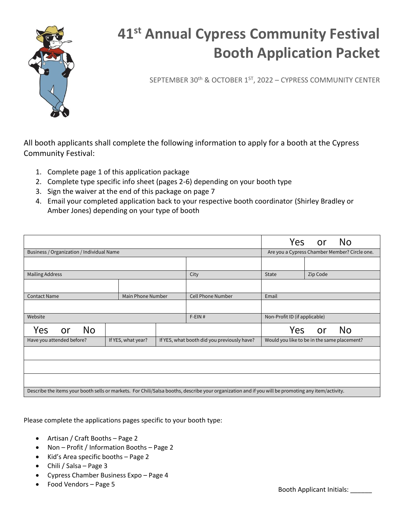

SEPTEMBER 30th & OCTOBER 1ST, 2022 – CYPRESS COMMUNITY CENTER

All booth applicants shall complete the following information to apply for a booth at the Cypress Community Festival:

- 1. Complete page 1 of this application package
- 2. Complete type specific info sheet (pages 2-6) depending on your booth type
- 3. Sign the waiver at the end of this package on page 7
- 4. Email your completed application back to your respective booth coordinator (Shirley Bradley or Amber Jones) depending on your type of booth

|                                                                                                                                                    |  |                    |  | <b>Yes</b>                                  | <b>or</b>                                     | <b>No</b> |           |
|----------------------------------------------------------------------------------------------------------------------------------------------------|--|--------------------|--|---------------------------------------------|-----------------------------------------------|-----------|-----------|
| Business / Organization / Individual Name                                                                                                          |  |                    |  |                                             | Are you a Cypress Chamber Member? Circle one. |           |           |
|                                                                                                                                                    |  |                    |  |                                             |                                               |           |           |
| <b>Mailing Address</b>                                                                                                                             |  |                    |  | City                                        | <b>State</b>                                  | Zip Code  |           |
|                                                                                                                                                    |  |                    |  |                                             |                                               |           |           |
| <b>Contact Name</b>                                                                                                                                |  | Main Phone Number  |  | <b>Cell Phone Number</b>                    | Email                                         |           |           |
|                                                                                                                                                    |  |                    |  |                                             |                                               |           |           |
| Website                                                                                                                                            |  |                    |  | $F$ -EIN#                                   | Non-Profit ID (if applicable)                 |           |           |
| <b>No</b><br>Yes<br>or                                                                                                                             |  |                    |  |                                             | Yes                                           | <b>or</b> | <b>No</b> |
| Have you attended before?                                                                                                                          |  | If YES, what year? |  | If YES, what booth did you previously have? | Would you like to be in the same placement?   |           |           |
|                                                                                                                                                    |  |                    |  |                                             |                                               |           |           |
|                                                                                                                                                    |  |                    |  |                                             |                                               |           |           |
|                                                                                                                                                    |  |                    |  |                                             |                                               |           |           |
| Describe the items your booth sells or markets. For Chili/Salsa booths, describe your organization and if you will be promoting any item/activity. |  |                    |  |                                             |                                               |           |           |

Please complete the applications pages specific to your booth type:

- Artisan / Craft Booths Page 2
- Non Profit / Information Booths Page 2
- Kid's Area specific booths Page 2
- Chili / Salsa Page 3
- Cypress Chamber Business Expo Page 4
- Food Vendors Page 5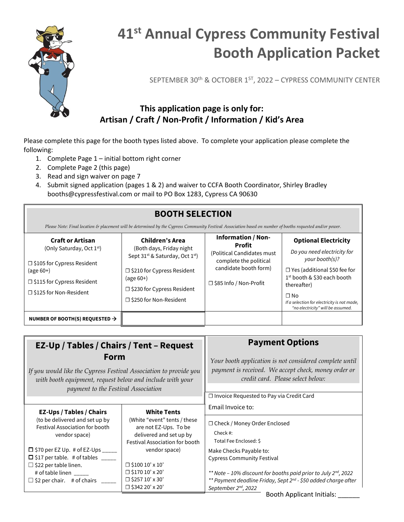

SEPTEMBER 30th & OCTOBER 1ST, 2022 – CYPRESS COMMUNITY CENTER

### **This application page is only for: Artisan / Craft / Non-Profit / Information / Kid's Area**

Please complete this page for the booth types listed above. To complete your application please complete the following:

- 1. Complete Page 1 initial bottom right corner
- 2. Complete Page 2 (this page)
- 3. Read and sign waiver on page 7
- 4. Submit signed application (pages 1 & 2) and waiver to CCFA Booth Coordinator, Shirley Bradley booths@cypressfestival.com or mail to PO Box 1283, Cypress CA 90630

| <b>BOOTH SELECTION</b><br>Please Note: Final location & placement will be determined by the Cypress Community Festival Association based on number of booths requested and/or power. |                                                                                                                                                                                                                                         |                                                                                                                                                         |                                                                                                                                                                                                                                                                                |  |
|--------------------------------------------------------------------------------------------------------------------------------------------------------------------------------------|-----------------------------------------------------------------------------------------------------------------------------------------------------------------------------------------------------------------------------------------|---------------------------------------------------------------------------------------------------------------------------------------------------------|--------------------------------------------------------------------------------------------------------------------------------------------------------------------------------------------------------------------------------------------------------------------------------|--|
| <b>Craft or Artisan</b><br>(Only Saturday, Oct 1st)<br>$\Box$ \$105 for Cypress Resident<br>$(age 60+)$<br>□ \$115 for Cypress Resident<br>$\Box$ \$125 for Non-Resident             | <b>Children's Area</b><br>(Both days, Friday night<br>Sept 31 <sup>st</sup> & Saturday, Oct 1 <sup>st</sup> )<br>$\Box$ \$210 for Cypress Resident<br>$(age 60+)$<br>$\Box$ \$230 for Cypress Resident<br>$\Box$ \$250 for Non-Resident | <b>Information / Non-</b><br><b>Profit</b><br>(Political Candidates must<br>complete the political<br>candidate booth form)<br>□ \$85 Info / Non-Profit | <b>Optional Electricity</b><br>Do you need electricity for<br>your booth(s)?<br>$\Box$ Yes (additional \$50 fee for<br>1 <sup>st</sup> booth & \$30 each booth<br>thereafter)<br>$\Box$ No<br>If a selection for electricity is not made,<br>"no electricity" will be assumed. |  |
| NUMBER OF BOOTH(S) REQUESTED $\rightarrow$                                                                                                                                           |                                                                                                                                                                                                                                         |                                                                                                                                                         |                                                                                                                                                                                                                                                                                |  |

| EZ-Up / Tables / Chairs / Tent - Request<br>Form<br>If you would like the Cypress Festival Association to provide you<br>with booth equipment, request below and include with your<br>payment to the Festival Association                                                                                   |                                                                                                                                                                                                                                                                   | <b>Payment Options</b><br>Your booth application is not considered complete until<br>payment is received. We accept check, money order or<br>credit card. Please select below:<br>$\Box$ Invoice Requested to Pay via Credit Card                                                                                                                                                                                                                                                                                                                                              |  |
|-------------------------------------------------------------------------------------------------------------------------------------------------------------------------------------------------------------------------------------------------------------------------------------------------------------|-------------------------------------------------------------------------------------------------------------------------------------------------------------------------------------------------------------------------------------------------------------------|--------------------------------------------------------------------------------------------------------------------------------------------------------------------------------------------------------------------------------------------------------------------------------------------------------------------------------------------------------------------------------------------------------------------------------------------------------------------------------------------------------------------------------------------------------------------------------|--|
| <b>EZ-Ups / Tables / Chairs</b><br>(to be delivered and set up by<br><b>Festival Association for booth</b><br>vendor space)<br>$\Box$ \$70 per EZ Up. # of EZ-Ups _____<br>$\Box$ \$17 per table. # of tables ____<br>$\Box$ \$22 per table linen.<br># of table linen<br>$\Box$ \$2 per chair. # of chairs | <b>White Tents</b><br>(White "event" tents / these<br>are not EZ-Ups. To be<br>delivered and set up by<br>Festival Association for booth<br>vendor space)<br>$\Box$ \$100 10' x 10'<br>$\Box$ \$170 10' x 20'<br>$\Box$ \$257 10' x 30'<br>$\Box$ \$342 20' x 20' | Email Invoice to:<br>□ Check / Money Order Enclosed<br>Check#:<br>Total Fee Enclosed: \$<br>Make Checks Payable to:<br><b>Cypress Community Festival</b><br>** Note - 10% discount for booths paid prior to July 2nd, 2022<br>** Payment deadline Friday, Sept 2 <sup>nd</sup> - \$50 added charge after<br>September 2 <sup>nd</sup> , 2022<br>the control of the control of the state of the control of the control of the control of the control of the control of the control of the control of the control of the control of the control of the control of the control of |  |

Booth Applicant Initials: \_\_\_\_\_\_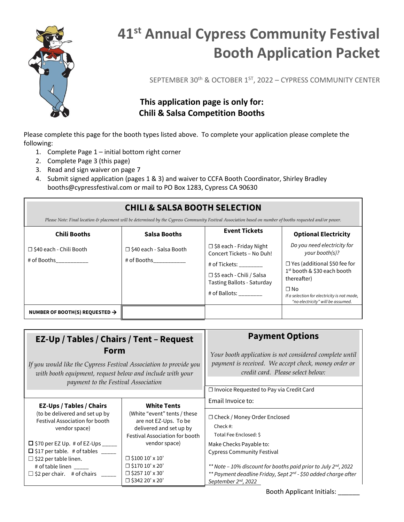

SEPTEMBER 30th & OCTOBER 1ST, 2022 – CYPRESS COMMUNITY CENTER

### **This application page is only for: Chili & Salsa Competition Booths**

Please complete this page for the booth types listed above. To complete your application please complete the following:

- 1. Complete Page 1 initial bottom right corner
- 2. Complete Page 3 (this page)
- 3. Read and sign waiver on page 7
- 4. Submit signed application (pages 1 & 3) and waiver to CCFA Booth Coordinator, Shirley Bradley booths@cypressfestival.com or mail to PO Box 1283, Cypress CA 90630

### **CHILI & SALSA BOOTH SELECTION**

*Please Note: Final location & placement will be determined by the Cypress Community Festival Association based on number of booths requested and/or power.*

| <b>Chili Booths</b>                        | <b>Salsa Booths</b>                      | <b>Event Tickets</b>                                                                                                                                                               | <b>Optional Electricity</b>                                                                                                                                                                                                                     |
|--------------------------------------------|------------------------------------------|------------------------------------------------------------------------------------------------------------------------------------------------------------------------------------|-------------------------------------------------------------------------------------------------------------------------------------------------------------------------------------------------------------------------------------------------|
| □ \$40 each - Chili Booth<br># of Booths   | □ \$40 each - Salsa Booth<br># of Booths | $\Box$ \$8 each - Friday Night<br>Concert Tickets - No Duh!<br># of Tickets: ________<br>□ \$5 each - Chili / Salsa<br><b>Tasting Ballots - Saturday</b><br># of Ballots: ________ | Do you need electricity for<br>your booth(s)?<br>$\Box$ Yes (additional \$50 fee for<br>1 <sup>st</sup> booth & \$30 each booth<br>thereafter)<br>$\Box$ No<br>If a selection for electricity is not made,<br>"no electricity" will be assumed. |
| NUMBER OF BOOTH(S) REQUESTED $\rightarrow$ |                                          |                                                                                                                                                                                    |                                                                                                                                                                                                                                                 |

| EZ-Up / Tables / Chairs / Tent - Request<br>Form<br>If you would like the Cypress Festival Association to provide you<br>with booth equipment, request below and include with your<br>payment to the Festival Association                                                                                          |                                                                                                                                                                                                                                         | <b>Payment Options</b><br>Your booth application is not considered complete until<br>payment is received. We accept check, money order or<br>credit card. Please select below:<br>$\Box$ Invoice Requested to Pay via Credit Card                                                                                           |
|--------------------------------------------------------------------------------------------------------------------------------------------------------------------------------------------------------------------------------------------------------------------------------------------------------------------|-----------------------------------------------------------------------------------------------------------------------------------------------------------------------------------------------------------------------------------------|-----------------------------------------------------------------------------------------------------------------------------------------------------------------------------------------------------------------------------------------------------------------------------------------------------------------------------|
| <b>EZ-Ups / Tables / Chairs</b><br>(to be delivered and set up by<br><b>Festival Association for booth</b><br>vendor space)<br>$\Box$ \$70 per EZ Up. # of EZ-Ups _____<br>$\Box$ \$17 per table. # of tables ____<br>$\Box$ \$22 per table linen.<br># of table linen<br>$\Box$ \$2 per chair. # of chairs $\Box$ | <b>White Tents</b><br>(White "event" tents / these<br>are not EZ-Ups. To be<br>delivered and set up by<br>Festival Association for booth<br>vendor space)<br>$\Box$ \$100 10' x 10'<br>$\Box$ \$170 10' x 20'<br>$\Box$ \$257 10' x 30' | Email Invoice to:<br>$\Box$ Check / Money Order Enclosed<br>Check #:<br>Total Fee Enclosed: \$<br>Make Checks Payable to:<br><b>Cypress Community Festival</b><br>** Note - 10% discount for booths paid prior to July 2 <sup>nd</sup> , 2022<br>** Payment deadline Friday, Sept 2 <sup>nd</sup> - \$50 added charge after |

Booth Applicant Initials: \_\_\_\_\_\_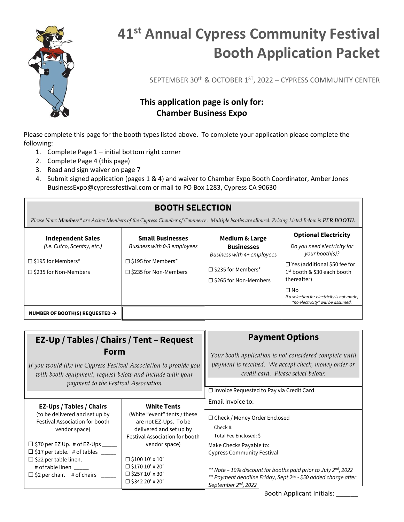

SEPTEMBER 30th & OCTOBER 1ST, 2022 – CYPRESS COMMUNITY CENTER

### **This application page is only for: Chamber Business Expo**

Please complete this page for the booth types listed above. To complete your application please complete the following:

- 1. Complete Page 1 initial bottom right corner
- 2. Complete Page 4 (this page)
- 3. Read and sign waiver on page 7
- 4. Submit signed application (pages 1 & 4) and waiver to Chamber Expo Booth Coordinator, Amber Jones BusinessExpo@cypressfestival.com or mail to PO Box 1283, Cypress CA 90630

## **BOOTH SELECTION**

*Please Note: Members\* are Active Members of the Cypress Chamber of Commerce. Multiple booths are allowed. Pricing Listed Below is PER BOOTH.*

| <b>Independent Sales</b><br>(i.e. Cutco, Scentsy, etc.)<br>$\Box$ \$195 for Members*<br>$\Box$ \$235 for Non-Members | <b>Small Businesses</b><br>Business with 0-3 employees<br>$\square$ \$195 for Members*<br>$\Box$ \$235 for Non-Members | <b>Medium &amp; Large</b><br><b>Businesses</b><br>Business with 4+ employees<br>□ \$235 for Members*<br>$\Box$ \$265 for Non-Members | <b>Optional Electricity</b><br>Do you need electricity for<br>your booth(s)?<br>$\Box$ Yes (additional \$50 fee for<br>1 <sup>st</sup> booth & \$30 each booth<br>thereafter) |
|----------------------------------------------------------------------------------------------------------------------|------------------------------------------------------------------------------------------------------------------------|--------------------------------------------------------------------------------------------------------------------------------------|-------------------------------------------------------------------------------------------------------------------------------------------------------------------------------|
| NUMBER OF BOOTH(S) REQUESTED $\rightarrow$                                                                           |                                                                                                                        |                                                                                                                                      | $\Box$ No<br>If a selection for electricity is not made,<br>"no electricity" will be assumed.                                                                                 |

| EZ-Up / Tables / Chairs / Tent - Request<br>Form<br>If you would like the Cypress Festival Association to provide you<br>with booth equipment, request below and include with your<br>payment to the Festival Association                                                                                 |                                                                                                                                                                                                                                                                   | <b>Payment Options</b><br>Your booth application is not considered complete until<br>payment is received. We accept check, money order or<br>credit card. Please select below:<br>$\Box$ Invoice Requested to Pay via Credit Card                                                                                                             |
|-----------------------------------------------------------------------------------------------------------------------------------------------------------------------------------------------------------------------------------------------------------------------------------------------------------|-------------------------------------------------------------------------------------------------------------------------------------------------------------------------------------------------------------------------------------------------------------------|-----------------------------------------------------------------------------------------------------------------------------------------------------------------------------------------------------------------------------------------------------------------------------------------------------------------------------------------------|
| EZ-Ups / Tables / Chairs<br>(to be delivered and set up by<br><b>Festival Association for booth</b><br>vendor space)<br>$\Box$ \$70 per EZ Up. # of EZ-Ups ____<br>$\Box$ \$17 per table. # of tables ____<br>$\Box$ \$22 per table linen.<br># of table linen<br>$\Box$ \$2 per chair. # of chairs _____ | <b>White Tents</b><br>(White "event" tents / these<br>are not EZ-Ups. To be<br>delivered and set up by<br>Festival Association for booth<br>vendor space)<br>$\Box$ \$100 10' x 10'<br>$\Box$ \$170 10' x 20'<br>$\Box$ \$257 10' x 30'<br>$\Box$ \$342 20' x 20' | Email Invoice to:<br>□ Check / Money Order Enclosed<br>Check #:<br>Total Fee Enclosed: \$<br>Make Checks Payable to:<br><b>Cypress Community Festival</b><br>** Note - 10% discount for booths paid prior to July 2nd, 2022<br>** Payment deadline Friday, Sept 2 <sup>nd</sup> - \$50 added charge after<br>September 2 <sup>nd</sup> , 2022 |

Booth Applicant Initials: \_\_\_\_\_\_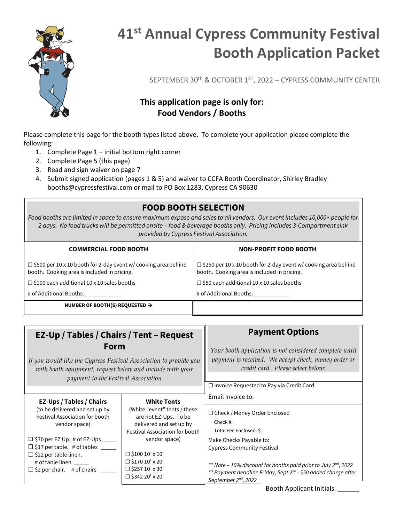

SEPTEMBER 30th & OCTOBER 1ST, 2022 – CYPRESS COMMUNITY CENTER

### **This application page is only for: Food Vendors / Booths**

Please complete this page for the booth types listed above. To complete your application please complete the following:

- 1. Complete Page 1 initial bottom right corner
- 2. Complete Page 5 (this page)
- 3. Read and sign waiver on page 7
- 4. Submit signed application (pages 1 & 5) and waiver to CCFA Booth Coordinator, Shirley Bradley booths@cypressfestival.com or mail to PO Box 1283, Cypress CA 90630

### **FOOD BOOTH SELECTION**

*Food booths are limited in space to ensure maximum expose and sales to all vendors. Our event includes 10,000+ people for 2 days. No food trucks will be permitted onsite – food & beverage booths only. Pricing includes 3-Compartment sink provided by Cypress Festival Association.*

| <b>COMMERCIAL FOOD BOOTH</b>                                                                                         | <b>NON-PROFIT FOOD BOOTH</b>                                                                                         |
|----------------------------------------------------------------------------------------------------------------------|----------------------------------------------------------------------------------------------------------------------|
| $\Box$ \$500 per 10 x 10 booth for 2-day event w/ cooking area behind<br>booth. Cooking area is included in pricing. | $\Box$ \$250 per 10 x 10 booth for 2-day event w/ cooking area behind<br>booth. Cooking area is included in pricing. |
| $\Box$ \$100 each additional 10 x 10 sales booths                                                                    | $\Box$ \$50 each additional 10 x 10 sales booths                                                                     |
| # of Additional Booths:                                                                                              | # of Additional Booths:                                                                                              |
| NUMBER OF BOOTH(S) REQUESTED $\rightarrow$                                                                           |                                                                                                                      |

| EZ-Up / Tables / Chairs / Tent - Request<br>Form<br>If you would like the Cypress Festival Association to provide you<br>with booth equipment, request below and include with your<br>payment to the Festival Association                                                                                  |                                                                                                                                                                                                                                                                   | <b>Payment Options</b><br>Your booth application is not considered complete until<br>payment is received. We accept check, money order or<br>credit card. Please select below:<br>$\Box$ Invoice Requested to Pay via Credit Card                                                                                                     |
|------------------------------------------------------------------------------------------------------------------------------------------------------------------------------------------------------------------------------------------------------------------------------------------------------------|-------------------------------------------------------------------------------------------------------------------------------------------------------------------------------------------------------------------------------------------------------------------|---------------------------------------------------------------------------------------------------------------------------------------------------------------------------------------------------------------------------------------------------------------------------------------------------------------------------------------|
| <b>EZ-Ups / Tables / Chairs</b><br>(to be delivered and set up by<br><b>Festival Association for booth</b><br>vendor space)<br>$\Box$ \$70 per EZ Up. # of EZ-Ups ____<br>$\Box$ \$17 per table. # of tables ____<br>$\Box$ \$22 per table linen.<br># of table linen<br>$\Box$ \$2 per chair. # of chairs | <b>White Tents</b><br>(White "event" tents / these<br>are not EZ-Ups. To be<br>delivered and set up by<br>Festival Association for booth<br>vendor space)<br>$\Box$ \$100 10' x 10'<br>$\Box$ \$170 10' x 20'<br>$\Box$ \$257 10' x 30'<br>$\Box$ \$342 20' x 20' | Email Invoice to:<br>□ Check / Money Order Enclosed<br>Check#:<br>Total Fee Enclosed: \$<br>Make Checks Payable to:<br><b>Cypress Community Festival</b><br>** Note - 10% discount for booths paid prior to July 2nd, 2022<br>** Payment deadline Friday, Sept 2nd - \$50 added charge after<br>September 2 <sup>nd</sup> , 2022<br>. |

Booth Applicant Initials: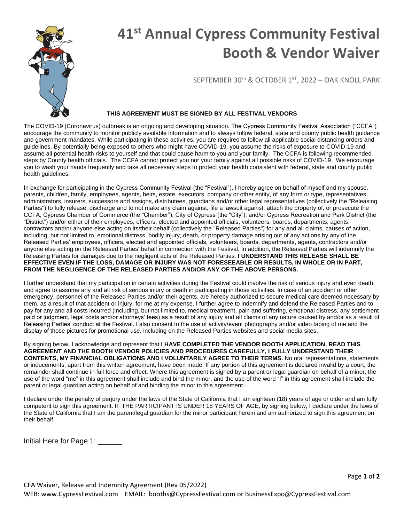

# **41st Annual Cypress Community Festival Booth & Vendor Waiver**

SEPTEMBER 30<sup>th</sup> & OCTOBER 1<sup>ST</sup>, 2022 - OAK KNOLL PARK

#### **THIS AGREEMENT MUST BE SIGNED BY ALL FESTIVAL VENDORS**

The COVID-19 (Coronavirus) outbreak is an ongoing and developing situation. The Cypress Community Festival Association ("CCFA") encourage the community to monitor publicly available information and to always follow federal, state and county public health guidance and government mandates. While participating in these activities, you are required to follow all applicable social distancing orders and guidelines. By potentially being exposed to others who might have COVID-19, you assume the risks of exposure to COVID-19 and assume all potential health risks to yourself and that could cause harm to you and your family. The CCFA is following recommended steps by County health officials. The CCFA cannot protect you nor your family against all possible risks of COVID-19. We encourage you to wash your hands frequently and take all necessary steps to protect your health consistent with federal, state and county public health guidelines.

In exchange for participating in the Cypress Community Festival (the "Festival"), I hereby agree on behalf of myself and my spouse, parents, children, family, employees, agents, heirs, estate, executors, company or other entity, of any form or type, representatives, administrators, insurers, successors and assigns, distributees, guardians and/or other legal representatives (collectively the "Releasing Parties") to fully release, discharge and to not make any claim against, file a lawsuit against, attach the property of, or prosecute the CCFA, Cypress Chamber of Commerce (the "Chamber"), City of Cypress (the "City"), and/or Cypress Recreation and Park District (the "District") and/or either of their employees, officers, elected and appointed officials, volunteers, boards, departments, agents, contractors and/or anyone else acting on its/their behalf (collectively the "Released Parties") for any and all claims, causes of action, including, but not limited to, emotional distress, bodily injury, death, or property damage arising out of any actions by any of the Released Parties' employees, officers, elected and appointed officials, volunteers, boards, departments, agents, contractors and/or anyone else acting on the Released Parties' behalf in connection with the Festival. In addition, the Released Parties will indemnify the Releasing Parties for damages due to the negligent acts of the Released Parties. **I UNDERSTAND THIS RELEASE SHALL BE EFFECTIVE EVEN IF THE LOSS, DAMAGE OR INJURY WAS NOT FORESEEABLE OR RESULTS, IN WHOLE OR IN PART, FROM THE NEGLIGENCE OF THE RELEASED PARTIES AND/OR ANY OF THE ABOVE PERSONS.**

I further understand that my participation in certain activities during the Festival could involve the risk of serious injury and even death, and agree to assume any and all risk of serious injury or death in participating in those activities. In case of an accident or other emergency, personnel of the Released Parties and/or their agents, are hereby authorized to secure medical care deemed necessary by them, as a result of that accident or injury, for me at my expense. I further agree to indemnify and defend the Released Parties and to pay for any and all costs incurred (including, but not limited to, medical treatment, pain and suffering, emotional distress, any settlement paid or judgment, legal costs and/or attorneys' fees) as a result of any injury and all claims of any nature caused by and/or as a result of Releasing Parties' conduct at the Festival. I also consent to the use of activity/event photography and/or video taping of me and the display of those pictures for promotional use, including on the Released Parties websites and social media sites.

By signing below, I acknowledge and represent that **I HAVE COMPLETED THE VENDOR BOOTH APPLICATION, READ THIS AGREEMENT AND THE BOOTH VENDOR POLICIES AND PROCEDURES CAREFULLY, I FULLY UNDERSTAND THEIR CONTENTS, MY FINANCIAL OBLIGATIONS AND I VOLUNTARILY AGREE TO THEIR TERMS.** No oral representations, statements or inducements, apart from this written agreement, have been made. If any portion of this agreement is declared invalid by a court, the remainder shall continue in full force and effect. Where this agreement is signed by a parent or legal guardian on behalf of a minor, the use of the word "me" in this agreement shall include and bind the minor, and the use of the word "I" in this agreement shall include the parent or legal guardian acting on behalf of and binding the minor to this agreement.

I declare under the penalty of perjury under the laws of the State of California that I am eighteen (18) years of age or older and am fully competent to sign this agreement. IF THE PARTICIPANT IS UNDER 18 YEARS OF AGE, by signing below, I declare under the laws of the State of California that I am the parent/legal guardian for the minor participant herein and am authorized to sign this agreement on their behalf.

Initial Here for Page 1: \_\_\_\_\_